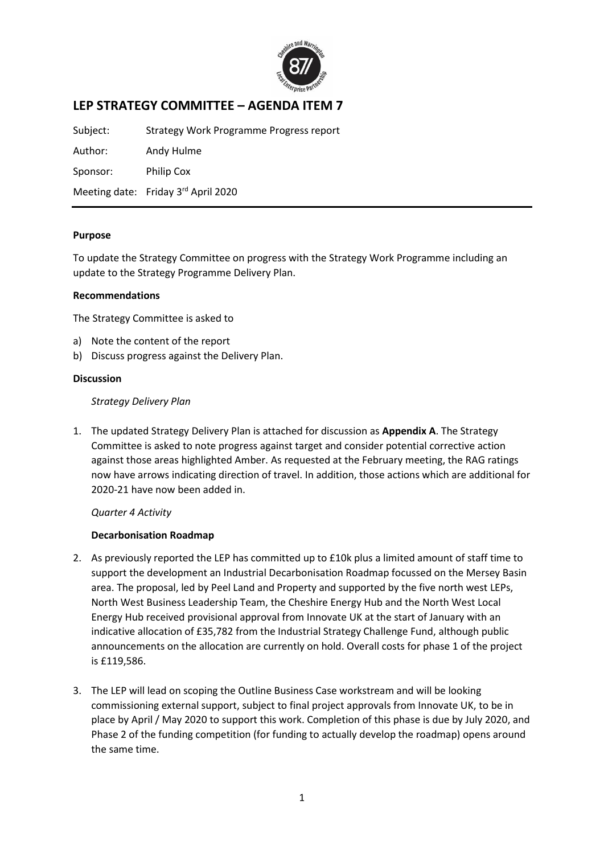

# **LEP STRATEGY COMMITTEE – AGENDA ITEM 7**

Subject: Strategy Work Programme Progress report

Author: Andy Hulme Sponsor: Philip Cox

Meeting date: Friday 3<sup>rd</sup> April 2020

#### **Purpose**

To update the Strategy Committee on progress with the Strategy Work Programme including an update to the Strategy Programme Delivery Plan.

#### **Recommendations**

The Strategy Committee is asked to

- a) Note the content of the report
- b) Discuss progress against the Delivery Plan.

#### **Discussion**

#### *Strategy Delivery Plan*

1. The updated Strategy Delivery Plan is attached for discussion as **Appendix A**. The Strategy Committee is asked to note progress against target and consider potential corrective action against those areas highlighted Amber. As requested at the February meeting, the RAG ratings now have arrows indicating direction of travel. In addition, those actions which are additional for 2020-21 have now been added in.

## *Quarter 4 Activity*

## **Decarbonisation Roadmap**

- 2. As previously reported the LEP has committed up to £10k plus a limited amount of staff time to support the development an Industrial Decarbonisation Roadmap focussed on the Mersey Basin area. The proposal, led by Peel Land and Property and supported by the five north west LEPs, North West Business Leadership Team, the Cheshire Energy Hub and the North West Local Energy Hub received provisional approval from Innovate UK at the start of January with an indicative allocation of £35,782 from the Industrial Strategy Challenge Fund, although public announcements on the allocation are currently on hold. Overall costs for phase 1 of the project is £119,586.
- 3. The LEP will lead on scoping the Outline Business Case workstream and will be looking commissioning external support, subject to final project approvals from Innovate UK, to be in place by April / May 2020 to support this work. Completion of this phase is due by July 2020, and Phase 2 of the funding competition (for funding to actually develop the roadmap) opens around the same time.